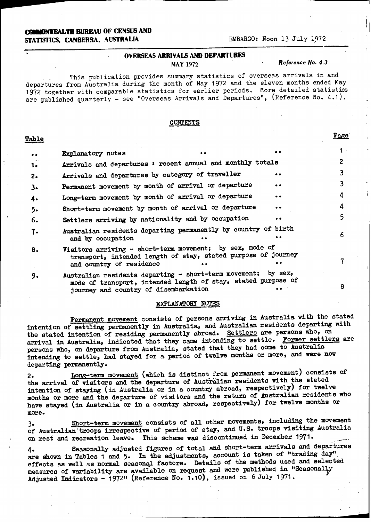### **(OIiDNWEALTH BUREAU OF CENSUS AND STATISTICS, CANBERRA, AUSTRALIA EMBARGO: Noon 13 July 1972**

#### **OVERSEAS ARRIVALS AND DEPARTURES**

#### MAY 1972 *Reference No. 4.3*

i

This publication provides summary statistics of overseas arrivals in and departures from Australia during the month of May 1972 and the eleven months ended May 1972 together with comparable statistics for earlier periods. More detailed statistics are published quarterly - see "Overseas Arrivals and Departures", (Reference No. 4.1).

#### **CONTENTS**

### **Table Page**

| $\bullet\bullet$ | <b>Explanatory</b> notes                                                                                                                                                |           |   |
|------------------|-------------------------------------------------------------------------------------------------------------------------------------------------------------------------|-----------|---|
| 1.               | Arrivals and departures : recent annual and monthly totals                                                                                                              |           |   |
| $2-$             | Arrivals and departures by category of traveller                                                                                                                        | . .       |   |
| 3.               | Permanent movement by month of arrival or departure                                                                                                                     | . .       |   |
| 4.               | Long-term movement by month of arrival or departure                                                                                                                     | $\bullet$ | 4 |
| $5-$             | Short-term movement by month of arrival or departure                                                                                                                    |           | 4 |
| 6.               | Settlers arriving by nationality and by occupation                                                                                                                      |           | 5 |
| 7.               | Australian residents departing permanently by country of birth<br>and by occupation                                                                                     |           | 6 |
| 8.               | Visitors arriving - short-term movement; by sex, mode of<br>transport, intended length of stay, stated purpose of journey<br>and country of residence                   |           |   |
| 9.               | Australian residents departing - short-term movement; by sex,<br>mode of transport, intended length of stay, stated purpose of<br>journey and country of disembarkation |           | 8 |

#### **EXPLANATORY NOTES**

Permanent movement consists of persons arriving in Australia with the stated intention of settling permanently in Australia, and Australian residents departing with the stated intention of residing permanently abroad. Settlers are persons who, on arrival in Australia, indicated that they came intending to settle. Former settlers are persons who, on departure from Australia, stated that they had come to Australia intending to settle, had stayed for a period of twelve months or more, and were now departing permanently.

2. Long-term movement (which is distinct from permanent movement) consists of the arrival of visitors and the departure of Australian residents with the stated intention of staying **(in** Australia or in a country abroad, respectively) **for** twelve months or more and the departure of visitors and the return of Australian residents who have stayed (in Australia or in a country abroad, respectively) for twelve months or **more.**

3. Short-term movement consists of **all** other movements, including the movement of Australian troops irrespective of period of stay, and U.S. troops visiting Australia **on** rest and recreation leave. This scheme was discontinued in December 1971.

**4.** Seasonally adjusted figures of total and short-term arrivals and departures are shown in Tables 1 and 5. In the adjustments, account is taken of "trading day" **effects as** well **as** normal seasonal factors. Details of the methods used and selected measures of variability are available on request and were published in "Seasonally **Adjusted Indicators** - 1972" (Reference No. 1.10), issued on 6 July 1971.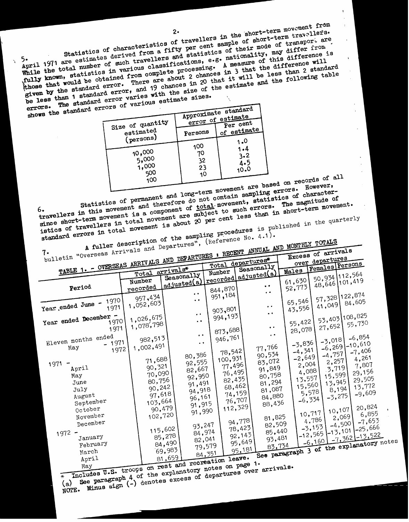2. The short-term move wellers in the short-term travellers.<br>
travellers in the of short-term travellers. **let sample of short-occurring to a let of transport are** 

**of the independent of the independent of the independent of the independent of the independent of the independent of the independent of the independent of**  $\frac{1}{2}$  **and statistics of timelity, may disference in** 

Statistics of chercal f Statistics of charged from a illustrations, e.g. nationality, may different<br>otal number of such travellers and statistics, e.g. nationality, may difference where the difference where the difference of this difference where Statistics of erived from a fixed statistics of this different<br>the total number of such travellers and statistics, e.g. nationality, may ultra-<br>the total number of such travellers classifications, e.g. A measure of this di  $\frac{1}{2}$  of the statistics  $\frac{1}{2}$  of the differences in  $\frac{1}{2}$  will be less that  $\frac{1}{2}$  that  $\frac{1}{2}$  will be  $\frac{1}{2}$  and the follow the standard error, and 19 chances in 20 that I's marke and the fully showed that would be obtained error. There are about it is a straight of the estimate and the fully strengthen by the standard error, and 19 chances in

| shows the standard errors of various escribed state |                   |          | Approximate standard          |                         |
|-----------------------------------------------------|-------------------|----------|-------------------------------|-------------------------|
|                                                     | Size of quantity  |          | error of estimate<br>Per cent |                         |
|                                                     | $\tt{e}$ stimated | Persons  | of estimate,                  |                         |
|                                                     | (persons)         | 100      | 1.0                           |                         |
|                                                     | 10,000            | 70       | 1.4<br>3.2                    |                         |
|                                                     | 5,000<br>1,000    | 32       | 4.5                           |                         |
|                                                     | 500               | 23<br>10 | 10.0                          |                         |
|                                                     | 100               |          |                               | hered on records of all |

term movement are based on records of term movement are based on records of tain sampling  $\frac{1}{100}$  of character-

istics of permanent and long-term movement are or errors. How istics of character and therefore do not contain sampling errors. The magnitude of character and there is to the magnitude  $\frac{1}{n}$  are magnitude  $\frac{1}{n}$  and Statistics of permet therefore do not a component, statistic me magnitude<br>wellers in this movement is a component of total movement, statistics of the movement of total movement, statistics and the movement of total moveme statistical and their of total movement.<br>
wellers in this movement is a component are subject to such errors. The movement.<br>
ce short-term movement is a hout 20 per cent less than in short-term movement.

Example 20 per cent is a component of the sampling procedures is published in the quarrier of the sampling procedures is published in the quarrier of the sampling procedures is published in the quarrier of the sampling pro ext-term movement is a comparint are subject that is than in site<br>
rt-term movement is about 20 per cent less than in site quarts<br>
errors in total movement is about 20 per cent less is published in the quarts<br>
of the sampl published in the quarter

 $\mu$  moves.<br>extintion of the sampling procedures ion of the sample of erence No. 4.17<br>and Departures", (Reference No. 4.17).

|                           | $\sim$ arrivals $\sim$ | ANNUAL S<br>$\rightarrow$ Excess of signal in $\overline{E}$                              |  |
|---------------------------|------------------------|-------------------------------------------------------------------------------------------|--|
| walletin "Overseas Arrang |                        | CONTAINS AND DEPARTURES : RECENT ANNUALLY<br>$\sim$ $\lambda$ and $\lambda$ <sup>or</sup> |  |

|                               |                 |                                             | Total departs | Seasonally            | $over =$<br>Females Persons              |
|-------------------------------|-----------------|---------------------------------------------|---------------|-----------------------|------------------------------------------|
| TABLE 1. - OVERSEAS ARRIVANS  | Total arrivals* | adjusted (a) recorded adjusted (a)          | Number        |                       | Males                                    |
|                               |                 |                                             |               |                       | 50,934 112,564                           |
|                               | Number          |                                             |               |                       | 61,630<br>48,646 101,419                 |
| Period                        | recorded        |                                             | 844,870       | $\bullet$             | 52,773                                   |
|                               | 957,434         | $\bullet$ $\bullet$                         | 951, 184      |                       | 57,328 122,874                           |
| 1970                          |                 | $\bullet$ $\bullet$                         |               |                       | 65,546<br>84,605                         |
| Year ended June -<br>1971     | 1,052,603       |                                             | 903,801       | $\bullet$ . $\bullet$ | 41,049<br>43,556                         |
|                               |                 | $\bullet$                                   |               | $\bullet$ $\bullet$   |                                          |
| Year ended December -<br>1970 | 1,026,675       | $\ddot{\bullet}$                            | 994,193       |                       | 53,403 108,825<br>55,422                 |
| 1971                          | 1,078,798       |                                             |               | $\bullet$ $\bullet$   | 55,730<br>27,652                         |
|                               |                 | $\ddot{\phantom{a}}$                        | 873,688       | $\ddot{\phantom{1}}$  | 28,078                                   |
| Eleven months ended           | 982,513         |                                             | 946,761       |                       | $-6,854$<br>$-3,018$                     |
| 1971                          | 1,002,491       | $\bullet$                                   |               |                       | $-3,836$<br>$1 - 10,610$<br>$-6,269$     |
| May<br>1972                   |                 |                                             | 78,542        | 77,766                | $-4,341$<br>$-7,406$                     |
|                               |                 | 80,386                                      | 100,931       | 90,534                | $-4,757$<br>$-2,649$<br>4,261            |
| 1971                          | 71,688          | 92,555                                      | 77,496        | 83,072                | 2,257<br>2,004<br>7,807                  |
| April                         | 90,321          | 82,667                                      |               | 91,849                | 3,719<br>4,088<br>29,156                 |
| May                           | 70,090          | 92,950                                      | 76,495        | 80,758                | 15,599<br>13,557                         |
| June                          | 80,756          | 91,491                                      | 82,435        | 81,294                | 29,505<br>13,945                         |
| July                          | 90,242          | 94,918                                      | 68,462        | 81,087                | 15,560<br>13,772<br>8,194                |
| August                        | 97,618          |                                             | 74,159)       | 84,880                | 5,578<br>$-9,609$<br>$-3,275$            |
| September                     | 103,664         | 96,161                                      | 76,707.       |                       | $-6,334$                                 |
| October                       | 90,479          | 91,915                                      | 112,329       | 88,436                | 20,824                                   |
| November                      | 102,720         | 91,990                                      |               |                       | 10,107<br>10,717<br>6,855                |
|                               |                 |                                             | 94,778,       | 81,825                | 2,069<br>4,786<br>$-7,653$               |
| December                      |                 | 93,247                                      | 78,423        | 82,509                | $-4,5001$                                |
| $1972 -$                      | 115,602         | 84,974                                      |               | 85,440                | $1 - 12,565$ - 13, 101 - 25, 666         |
| January                       | 85,278          | 82,041                                      | 92,143        | 93,481                | $-7,362$ $-13,522$                       |
| February                      | 84,490          | 79,579                                      | 95,649        |                       |                                          |
| March                         | 69,983          |                                             | 95,181        |                       | See paragraph 3 of the explanatory notes |
| April                         |                 | 84,351<br>81,659<br>and represention leave. |               |                       |                                          |
|                               |                 |                                             |               | المصمم                |                                          |

Hey May **1.5.** troops on rest and recreation leaves 1.<br>
Includes U.S. troops on rest and recreation page 1.<br> **Includes U.S.** troops on the explanatory notes on page 1.

(a) See paragraph 4 of the explanatory departure<br>(a) See paragraph 4 of the excess of departure<br>NOTE. Minus sign (-) denotes excess of departure

**1, See paragraph (-)** denotes excess of the sign (-) denotes  $\frac{1}{2}$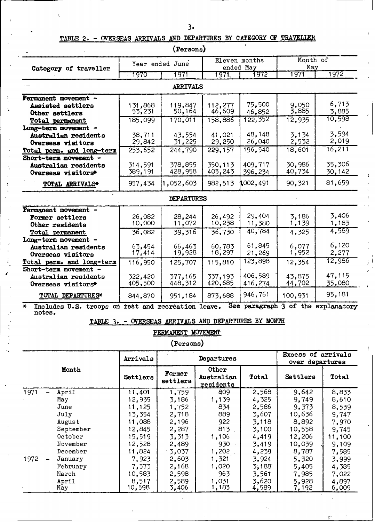## **TABLE** 2. - OVERSEAS ARRIVALS **AND** DEPARTURES BY CATEGORY OF TRAVELLER

|                                                                   |          | (Persons)         |         |                            |                                    |        |
|-------------------------------------------------------------------|----------|-------------------|---------|----------------------------|------------------------------------|--------|
| Category of traveller                                             |          | Year ended June   |         | Eleven months<br>ended May | Month of<br>May                    |        |
|                                                                   | 7970     | 1971              | 1971.   | 1972                       | 1971                               | 1972   |
|                                                                   |          | ARRIVALS          |         |                            |                                    |        |
| Permanent movement -                                              |          |                   |         |                            |                                    |        |
| Assisted settlers                                                 | 131,868  | 119,847           | 112,277 | 75,500                     | 9,050                              | 6,713  |
| Other settlers                                                    | 53,231   | 50,164            | 46,609  | 46,852                     | 3,885                              | 3,885  |
| <b>Total permanent</b>                                            | 185,099  | 170,011           | 158,886 | 122, 352                   | 12,935                             | 10,598 |
| Long-term movement -                                              |          |                   |         |                            |                                    |        |
| Australian residents                                              | 38,711   | 43,554            | 41,021  | 48.148                     | 3,134                              | 3,594  |
| Overseas visitors                                                 | 29,842   | 31,225            | 29,250  | 26,040                     | 2,532                              | 2,019  |
| Total perm. and long-term                                         | 253, 652 | 244,790           | 229,157 | 196,540                    | 18,601                             | 16,211 |
| Short-term movement -                                             |          |                   |         |                            |                                    |        |
| Australian residents                                              | 314,591  | 378,855           | 350,113 | 409.717                    | 30.986                             | 35,306 |
| Overseas visitors*                                                | 389,191  | 428,958           | 403,243 | 396,234                    | 40,734                             | 30,142 |
| TOTAL ARRIVALS*                                                   | 957,434  | 1,052,603         | 982,513 | 1,002,491                  | 90,321                             | 81,659 |
|                                                                   |          | <b>DEPARTURES</b> |         |                            |                                    |        |
| Permanent movement -                                              |          |                   |         |                            |                                    |        |
| Former settlers                                                   | 26,082   | $-28,244$         | 26,492  | 29,404                     | 3,186                              | 3,406  |
| Other residents                                                   | 10,000   | 11,072            | 10,238  | 11,380                     | 1,139                              | 1,183  |
| Total permanent                                                   | 36,082   | 39.316            | 36,730  | 40,784                     | 4,325                              | 4,589  |
| Long-term movement -                                              |          |                   |         |                            |                                    |        |
| Australian residents                                              | 63,454   | 66,463            | 60,783  | 61,845                     | 6,077                              | 6,120  |
| Overseas visitors                                                 | 17,414   | 19,928            | 18,297  | 21,269                     | 1,952                              | 2,277  |
| Total perm. and long-term                                         | 116,950  | 125,707           | 115,810 | 123,898                    | 12,354                             | 12,986 |
| Short-term movement -                                             |          |                   |         |                            |                                    |        |
| Australian residents                                              | 322,420  | 377,165           | 337,193 | 406,589                    | 43,875                             | 47,115 |
| Overseas visitors*                                                | 405,500  | 448,312           | 420,685 | 416,274                    | 44,702                             | 35,080 |
| TOTAL DEPARTURES*                                                 | 844,870  | 951,184           | 873,688 | 946,761                    | 100,931                            | 95,181 |
| Includes U.S. troops on rest and recreation leave.<br>₩<br>notes. |          |                   |         |                            | See paragraph 3 of the explanatory |        |

**TABLE 3.** - OVERSEAS ARRIVALS **AND DEPARTURES BY MONTH**

PERMANENT MOVEMENT

**(Persons)**

f

|       |           | Arrivals |                    | Departures                       | Excess of arrivals<br>over departures |          |        |  |
|-------|-----------|----------|--------------------|----------------------------------|---------------------------------------|----------|--------|--|
| Month |           | Settlers | Former<br>settlers | Other<br>Australian<br>residents | Total                                 | Settlers | Total  |  |
| 1971  | April     | 11,401   | 1,759              | 809                              | 2,568                                 | 9,642    | 8,833  |  |
|       | May       | 12,935   | 3,186              | 1,139                            | 4,325                                 | 9,749    | 8,610  |  |
|       | June      | 11,125   | 1,752              | 834                              | 2,586                                 | 9,373    | 8,539  |  |
|       | July      | 13,354   | 2,718              | 889                              | 3,607                                 | 10,636   | 9,747  |  |
|       | August    | 11,088   | 2,196              | 922                              | 3,118                                 | 8,892    | 7,970  |  |
|       | September | 12,845   | 2,287              | 813                              | 3,100                                 | 10,558   | 9,745  |  |
|       | October   | 15,519   | 3,313              | 1,106                            | 4,419                                 | 12,206   | 11,100 |  |
|       | November  | 12,528   | 2,489              | 930                              | 3,419                                 | 10,039   | 9,109  |  |
|       | December  | 11,824   | 3,037              | 1,202                            | 4,239                                 | 8,787    | 7,585  |  |
| 1972  | January   | 7,923    | 2,603              | 1,321                            | 3,924                                 | 5,320    | 3,999  |  |
|       | February  | 7,573    | 2,168              | 1,020                            | 3,188                                 | 5,405    | 4,385  |  |
|       | March     | 10,583   | 2,598              | 963                              | 3,561                                 | 7,985    | 7,022  |  |
|       | April     | 8,517    | 2,589              | 1,031                            | 3,620                                 | 5,928    | 4,897  |  |
|       | May       | 10,598   | 3,406              | 1,183                            | 4,589                                 | 7,192    | 6,009  |  |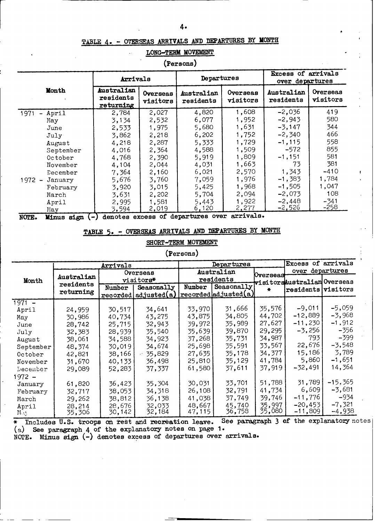#### **TABLE 4. - OVERSEAS ARRIVALS AND DEPARTURES BY MONTH**

### **LONG-TERM MOVEMENT**

**(Persons)**

|                                           | Arrivals                             |                      | Departures              |                      | Excess of arrivals<br>over departures |                      |  |
|-------------------------------------------|--------------------------------------|----------------------|-------------------------|----------------------|---------------------------------------|----------------------|--|
| Month                                     | Australian<br>residents<br>returning | Overseas<br>visitors | Australian<br>residents | Overseas<br>visitors | Australian<br>residents               | Overseas<br>visitors |  |
| 1971<br>April<br>$\overline{\phantom{0}}$ | 2,784                                | 2,027                | 4,820                   | 1,608                | $-2,036$                              | 419                  |  |
| May                                       | 3,134                                | 2,532                | 6,077                   | 1,952                | $-2,943$                              | 580                  |  |
| June                                      | 2,533                                | 1,975                | 5,680                   | 1,631                | $-3,147$                              | 344                  |  |
| July                                      | 3,862                                | 2,218                | 6,202                   | 1,752                | $-2,340$                              | 466                  |  |
| August                                    | 4,218                                | 2,287                | 5,333                   | 1,729                | $-1, 115$                             | 558                  |  |
| September                                 | 4,016                                | 2,364                | 4,588                   | 1,509                | $-572$                                | 855                  |  |
| October                                   | 4,768                                | 2,390                | 5,919                   | 1,809                | $-1,151$                              | 581                  |  |
| November                                  | 4,104                                | 2,044                | 4,031                   | 1,663                | 73                                    | 381                  |  |
| December                                  | 7,364                                | 2,160                | 6,021                   | 2,570                | 1,343                                 | -410                 |  |
| $1972 -$<br>January                       | 5,676                                | 3,760                | 7,059                   | 1,976                | $-1,383$                              | 1,784                |  |
| February                                  | 3,920                                | 3,015                | 5,425                   | 1,968                | $-1,505$                              | 1,047                |  |
| March                                     | 3,631                                | 2,202                | 5,704                   | 2,094                | $-2,073$                              | 108                  |  |
| April                                     | 2,995                                | 1,581                | 5,443                   | 1,922                | $-2,448$                              | $-341$               |  |
| May                                       | 3,594                                | 2,019                | 6,120                   | 2,277                | $-2,526$                              | -258                 |  |

**NOTE. Minus sign - denotes excess of departures over arrivals.**

## **TABLE 5.** - **OVERSEAS ARRIVALS AND DEPARTURES BY MONTH**

#### **SHORT-TERM MOVEMENT**

#### **(Persons)**

|           |            | Arrivals  |                       |        | Departures                              | Excess of arrivals |                             |           |
|-----------|------------|-----------|-----------------------|--------|-----------------------------------------|--------------------|-----------------------------|-----------|
|           | Overseas   |           |                       |        | Australian                              | Overseas           | over departures             |           |
| Month     | Australian | visitors* |                       |        | residents                               |                    | visitorsAustralian Overseas |           |
|           | residents  | Number    | Seasonally            | Number | Seasonally                              |                    | residents visitors          |           |
|           | returning  |           | recorded(adjusted(a)) |        | $ {\tt recorded} $ adjusted $({\tt a})$ |                    |                             |           |
| $1971 -$  |            |           |                       |        |                                         |                    |                             |           |
| April     | 24,959     | 30.517    | 34,641                | 33,970 | 31,666                                  | 35.576             | $-9,011$                    | $-5,059$  |
| May       | 30,986     | 40.734    | 43,275                | 43,875 | 34,805                                  | 44,702             | -12,889                     | $-3,968$  |
| June      | 28,742     | 25,715    | 32,943                | 39,972 | 35,989                                  | 27,627             | $-11,230$                   | $-1,912$  |
| July      | 32,383     | 28,939    | 35,540                | 35,639 | 39,870                                  | 29,295             | $-3,256$                    | $-356$    |
| August    | 38,061     | 34,588    | 34,923                | 37,268 | 35,731                                  | 34,987             | 793.                        | -399      |
| September | 48,374     | 30,019    | 34,674                | 25,698 | 35,591                                  | 33.567             | 22,676                      | $-3,548$  |
| October   | 42,821     | 38,166    | 35,829                | 27,635 | 35,178                                  | 34,377             | 15,186                      | 3,789     |
| November  | 31,670     | 40,133    | 36,498                | 25,810 | 35,129                                  | 41,784             | 5,860                       | $-1,651$  |
| December  | 29,089     | 52,283    | 37,337                | 61,580 | 37,611                                  | 37,919             | -32,491                     | 14,364    |
| 1972 –    |            |           |                       |        |                                         |                    |                             |           |
| January   | 61,820     | 36,423    | 35,304                | 30,031 | 33,701                                  | 51,788             | 31,789                      | $-15,365$ |
| February  | 32,717     | 38,053    | 34,318                | 26,108 | 32,791                                  | 41,734             | 6,609                       | $-3,681$  |
| March     | 29,262     | 38,812    | 36,138                | 41,038 | 37,749                                  | 39,746             | $-11,776$                   | $-934$    |
| April     | 28,214     | 28,676    | 32,033                | 48,667 | 45,740                                  | 35,997             | $-20, 453$                  | $-7,321$  |
|           | 35,306     | 30,142    | 32,184                | 47,115 | 36,758                                  | 35,080             | $-11,809$ $\mid$            | -4,938    |

(ខ) **Includes U.S. troops** on **rest** and recreation **leave. See paragr** See paragraph **4** of the explanatory notes on page 1. **aph 3 of the explanatory** notes

NOT **'E. Minus sign** (-) **denotes excess of departures over arrivals.**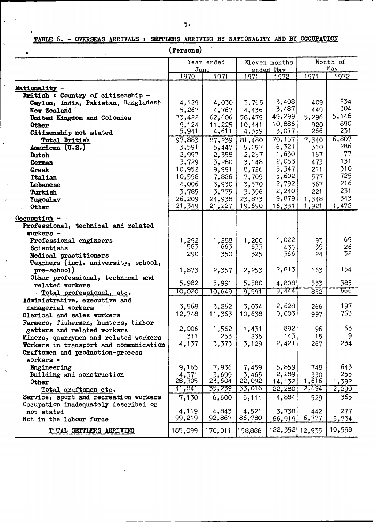# **TABLE 6. - OVERSEAS ARRIVALS : SETTLERS ARRIVING BY NATIONALITY AND BY OCCUPATION**

**(Persons)**

 $\mathcal{O}(\mathcal{C})$ 

|                                        |                  | Year ended      | Eleven months    |                   | Month of<br>May |               |
|----------------------------------------|------------------|-----------------|------------------|-------------------|-----------------|---------------|
|                                        | 1970             | June<br>1971    | 1971             | ended May<br>1972 | 1971            | 1972          |
|                                        |                  |                 |                  |                   |                 |               |
| Nationality -                          |                  |                 |                  |                   |                 |               |
| British : Country of citizenship -     |                  |                 |                  |                   |                 |               |
| Ceylon, India, Pakistan, Bangladesh    | 4,129            | 4,030           | 3,765            | 3,408             | 409             | 234           |
| New Zealand                            | 5,267            | 4,767           | 4,436            | 3,487             | 449             | 304           |
| United Kingdom and Colonies            | 73,422           | 62,606          | 58,479           | 49,299            | 5,296           | 5,148         |
| Other                                  | 9,124            | 11,225          | 10,441           | 10,886            | 920             | 890           |
| Citizenship not stated                 | 5,941            | 4,611           | 4,359            | 3,077             | 266             | 231           |
| <b>Total British</b>                   | 97,883           | 87,239          | 81,480           | 70,157            | 7,340           | 6,807         |
| American (U.S.)                        | 3,591            | 5,447           | 5, 657           | 6,321             | 310             | 286           |
| Dutch                                  | 2,997            | 2,358           | 2,237            | 1,630             | 167             | 77            |
| German                                 | 3,729            | 3,280           | 3,148            | 2,053             | 473             | 131           |
| Greek                                  | 10,952           | 9,991           | 8,726            | 5,347             | 211             | 310           |
| Italian                                | 10,598           | 7,826           | 7,709            | 5,602             | 577             | 725           |
| Lebanese                               | 4,006            | 3,930           | 3,570            | 2,792             | 367             | 216           |
| Turkish                                | 3,785            | 3,775           | 3,396            | 2,240             | 221             | 231           |
| Yugoslav                               | 26,209           | 24,938          | 23,873           | 9,879             | 1,348           | 343           |
| Other                                  | 21,349           | 21,227          | 19,690           | 16,331            | 1,921           | 1,472         |
| $Occupation -$                         |                  |                 |                  |                   |                 |               |
| Professional, technical and related    |                  |                 |                  |                   |                 |               |
| $\pi$ orkers -                         |                  |                 |                  |                   |                 |               |
| Professional engineers                 | 1,292            | 1,288           | 1,200            | 1,022             | 93              | 69            |
| Scientists                             | 583              | 663             | 633              | 435               | 39              | 26            |
|                                        | 290              | 350             | 325              | 366               | 24              | 32            |
| Medical practitioners                  |                  |                 |                  |                   |                 |               |
| Teachers (incl. university, school,    |                  |                 |                  | 2,813             | 163             | 154           |
| pre-school)                            | 1,873            | 2,357           | 2,253            |                   |                 |               |
| Other professional, technical and      | 5,982            | 5,991           | 5,580            | 4,808             | 533             | 385           |
| related workers                        | 10,020           | 10,649          | 9,991            | 9,444             | 852             | ठठठ           |
| Total professional, etc.               |                  |                 |                  |                   |                 |               |
| Administrative, executive and          | 3.568            | 3,262           | 3.034            | 2,628             | 266             | 197           |
| managerial workers                     | 12,748           | 11,363          | 10,638           | 9,003             | 997             | 763           |
| Clerical and sales workers             |                  |                 |                  |                   |                 |               |
| Farmers, fishermen, hunters, timber    | 2,006            | 1,562           | 1,431            | 892               | 96              | 63            |
| getters and related workers            | 311              | 253             | 235              | 143               | 15 <sub>1</sub> | 9             |
| Miners, quarrymen and related workers  | 4,137            | 3,373           | 3,129            | 2,421             | 267             | 234           |
| Workers in transport and communication |                  |                 |                  |                   |                 |               |
| Craftsmen and production-process       |                  |                 |                  |                   |                 |               |
| workers -                              |                  |                 |                  |                   |                 |               |
| Engineering                            | 9,165            | 7,936           | 7,459            | 5,859             | 748             | 643           |
| Building and construction              | 4,371            | 3,699<br>23,604 | 3,465            | 2,289             | 330             | 255           |
| <b>Other</b>                           | 28,305<br>41,841 | 35,239          | 22,092<br>33,016 | 14,132            | 1,616<br>2,694  | <u>1,392</u>  |
| Total craftsmen etc.                   |                  |                 |                  | 22,280            |                 | 2,290         |
| Service, sport and recreation workers  | 7,130            | 6,600           | 6,111            | 4,884             | 529             | 365           |
| Occupation inadequately described or   |                  |                 |                  |                   |                 |               |
| not stated                             | 4,119<br>99,219  | 4,843<br>92,867 | 4,521<br>86,780  | 3,738             | 442             | 277           |
| Not in the labour force                |                  |                 |                  | 66,919            | 6,777           | <u>5,734 </u> |
| TOTAL SETTLERS ARRIVING                | 185,099          | 170,011         | 158,886          | 122,352           | 12,935          | 10,598        |

 $\mathcal{L}^{\mathcal{A}}$ 

 $\cdot$ 

**I L I I**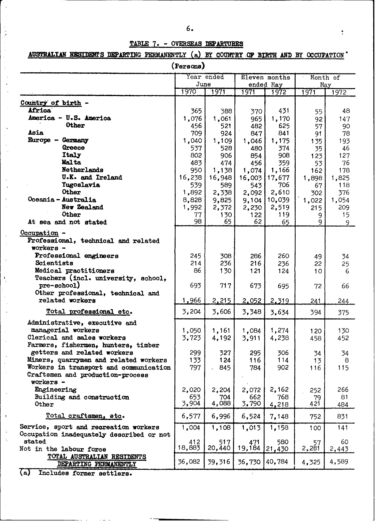### **TABLE 7.** - OVERSEAS DEPARTURES

# AUSTRALIAN RESIDENTS DEPARTING PERMANENTLY (a) BY COUNTRY OF BIRTH AND BY OCCUPATION

| (Persons)                                            |         |            |        |                            |                  |                 |  |  |  |  |  |
|------------------------------------------------------|---------|------------|--------|----------------------------|------------------|-----------------|--|--|--|--|--|
|                                                      | June    | Year ended |        | Eleven months<br>ended May |                  | Month of<br>May |  |  |  |  |  |
|                                                      | 1970    | 1971       | 1971   | 1972                       | 1971             | 1972            |  |  |  |  |  |
| Country of birth -                                   |         |            |        |                            |                  |                 |  |  |  |  |  |
| <b>Africa</b>                                        | 365     | 388        | 370    | 431                        | 55               | 48              |  |  |  |  |  |
| America - U.S. America                               | 1,076   | 1,061      | 965    | 1,170                      | 92               | 147             |  |  |  |  |  |
| Other                                                | 456     | 521        | 482    | 625                        | 57               | 90              |  |  |  |  |  |
| Asia                                                 | 709     | 924        | 847    | 841                        | 91               | 78              |  |  |  |  |  |
| Europe - Germany                                     | 1,040   | 1,109      | 1,046  | 1,175                      | 135              | 193             |  |  |  |  |  |
| Greece                                               | 537     | 528        | 480    | 374                        | 35.              | 46              |  |  |  |  |  |
| Italy                                                | 802     | 906        | 854    | 908                        | 123              | 127             |  |  |  |  |  |
| Malta                                                | 483     | 474        | 456    | 359                        | 53               | 76              |  |  |  |  |  |
| Netherlands                                          | 950     | 1,138      | 1,074  | 1,166                      | 162 <sub>1</sub> | 178             |  |  |  |  |  |
| <b>U.K. and Ireland</b>                              | 16,238  | 16,948     |        | 16,003   17,677            | 1,898            | 1,825           |  |  |  |  |  |
| <b>Yugoslavia</b>                                    | 539     | 589        | 543    | 706                        | 67               | 118             |  |  |  |  |  |
| <b>Other</b>                                         | 1,892   | 2,338      | 2,092  | 2,610                      | 302              | 376             |  |  |  |  |  |
| Oceania - Australia                                  | 8,828   | 9,825      |        | 9,104   10,039             | 1,022            | 1,054           |  |  |  |  |  |
| New Zealand                                          | 1,992   | 2,372      | 2,230  | 2,519                      | 215              | 209             |  |  |  |  |  |
| Other                                                | 77      | 130        | 122    | 119                        | 9                | 15              |  |  |  |  |  |
| At sea and not stated                                | 98      | 65         | 62     | 65                         | 9                | 9               |  |  |  |  |  |
|                                                      |         |            |        |                            |                  |                 |  |  |  |  |  |
| $Occurbation -$                                      |         |            |        |                            |                  |                 |  |  |  |  |  |
| Professional, technical and related                  |         |            |        |                            |                  |                 |  |  |  |  |  |
| workers -                                            |         |            |        |                            |                  |                 |  |  |  |  |  |
| Professional engineers                               | 245     | 308        | 286    | 260                        | 49               | 34              |  |  |  |  |  |
| Scientists                                           | 214     | 236        | 216    | 236                        | 22               | 25              |  |  |  |  |  |
| Medical practitioners                                | 86      | 130        | 121    | 124                        | 10               | 6               |  |  |  |  |  |
| Teachers (incl. university, school,                  |         |            |        |                            |                  |                 |  |  |  |  |  |
| pre-school)                                          | 693     | 717        | 673    | 695                        | 72               | 66              |  |  |  |  |  |
| Other professional, technical and<br>related workers | 1,966   |            |        |                            |                  |                 |  |  |  |  |  |
|                                                      |         | 2,215      | 2,052  | 2,319                      | 241              | 244             |  |  |  |  |  |
| Total professional etc.                              | 3,204   | 3,606      | 3,348  | 3,634                      | 394              | 375             |  |  |  |  |  |
| Administrative, executive and                        |         |            |        |                            |                  |                 |  |  |  |  |  |
| managerial workers                                   | 1,050   | 1,161      | 1,084  | 1,274                      | 120              | 130             |  |  |  |  |  |
| Clerical and sales workers                           | 3,723   | 4,192      | 3,911  | 4,238                      | 458              | 452             |  |  |  |  |  |
| Farmers, fishermen, hunters, timber                  |         |            |        |                            |                  |                 |  |  |  |  |  |
| getters and related workers                          | 299     | 327        | 295    | 306                        | 34               | 34              |  |  |  |  |  |
| Miners, quarrymen and related workers                | $133 -$ | 124        | 116    | 114                        | 13               | 8               |  |  |  |  |  |
| Workers in transport and communication               | 797     | 845        | 784    | 902                        | 116              | 115             |  |  |  |  |  |
| Craftsmen and production-process                     |         |            |        |                            |                  |                 |  |  |  |  |  |
| $workers -$                                          |         |            |        |                            |                  |                 |  |  |  |  |  |
| Engineering                                          | 2,020   | 2,204      | 2,072  | 2,162                      | 252              | 266             |  |  |  |  |  |
| Building and construction                            | 653     | 704        | 662    | 768                        | 79               | 81              |  |  |  |  |  |
| Other                                                | 3,904   | 4,088      | 3,790  | 4,218                      | 421              | 484             |  |  |  |  |  |
| Total craftsmen, etc.                                | 6,577   | 6,996      | 6,524  | 7,148                      | 752              | 831             |  |  |  |  |  |
| Service, sport and recreation workers                | 1,004   | 1,108      | 1,013  | 1,158                      | 100              | 141             |  |  |  |  |  |
| Occupation inadequately described or not             |         |            |        |                            |                  |                 |  |  |  |  |  |
| stated                                               | 412     | 517        | 471    | 580                        | 57               | 60              |  |  |  |  |  |
| Not in the labour force                              | 18,883  | 20,440     | 19,184 | 21,430                     | 2,281            | 2,443           |  |  |  |  |  |
| TOTAL AUSTRALIAN RESIDENTS<br>DEPARTING PERMANENTLY  | 36,082  | 39,316     | 36,730 | 40,784                     | 4,325            | 4,589           |  |  |  |  |  |

(a) Includes former settlers.

 $-$  -  $-$ 

 $\alpha = 1$  .

 $\ddot{\phantom{1}}$  $\bar{\mathcal{A}}$ 

 $\bar{z}$  $\ddot{\phantom{0}}$  $\dot{\gamma}$  $\bar{\beta}$  $\ddot{\phantom{a}}$  $\ddot{\phantom{a}}$ 

> $\overline{\phantom{a}}$  $\mathcal{L}_{\mathcal{A}}$  $\bar{\gamma}$

 $\bar{\lambda}$  $\sim$  $\overline{\phantom{a}}$  $\ddot{\phantom{a}}$ 

 $\overline{\phantom{a}}$  $\mathbb{R}^2$ 

 $\langle . ,$ 

 $\hat{\mathcal{A}}_j$ 

 $\bar{z}$  $\ddot{\phantom{a}}$  $\ddot{\phantom{1}}$ 

 $\bar{\mathcal{A}}$  $\bar{\beta}$ 

 $\ddot{\phantom{a}}$  $\ddot{\phantom{a}}$  $\bar{\gamma}$ 

 $\bar{z}$ 

 $\ddot{\phantom{a}}$  $\bar{\gamma}$ 

 $\bar{\beta}$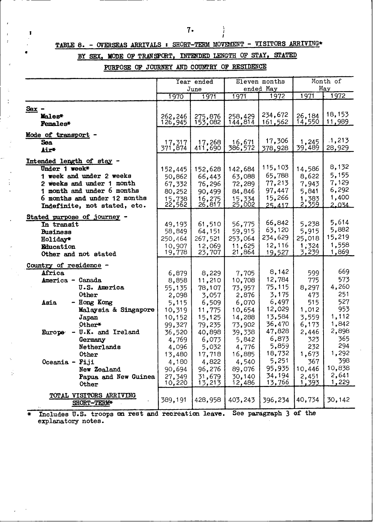$\begin{array}{c} \begin{array}{c} \text{i} \\ \text{ii} \end{array} \end{array}$ 

# **TABLE 8.** - OVERSEAS **ARRIVALS : SHORT-TERM MOVEMENT** - VISITORS ARRIVING\*

 $\mathbf{I}$ 

 $\ddot{\cdot}$ 

 $\mathcal{L}$ 

 $\bar{\zeta}$  $\frac{1}{2}$ 

 $\cdot$ 

# BY SEX, MODE OF TRANSPORT, INTENDED LENGTH OF STAY, STATED

**PURPOSE OP JOURNEY AND COUNTRY** OF RESIDENCE

|                                                     |                  | Year ended       | Eleven months    |                  | Month of       |                 |
|-----------------------------------------------------|------------------|------------------|------------------|------------------|----------------|-----------------|
|                                                     |                  | June             |                  | ended May        |                | May             |
|                                                     | 1970             | 1971             | 1971             | 1972             | 1971           | 1972            |
| $Sex -$                                             |                  |                  |                  |                  |                |                 |
| Males*                                              | 262,246          | 275,876          | 258,429          | 234,672          | 26,184         | 18,153          |
| <b>Females*</b>                                     | 126,945          | 153,082          | 144,814          | 161,562          | 14,550         | 11,989          |
| Mode of transport                                   |                  |                  |                  |                  |                |                 |
| Sea                                                 | 17,317           | 17,268           | 16,671           | 17,306           | 1,245          | .1,213          |
| Air*                                                | 371,874          | 411,690          | 386,572          | 378,928          | 39,489         | 28,929          |
| Intended length of stay -                           |                  |                  |                  |                  |                |                 |
| Under 1 week*                                       | 152,445          | 152,628          | 142,684          | 115,103          | 14,586         | 8,132           |
| 1 week and under 2 weeks                            | 50,862           | 66,443           | 63,088           | 65,788           | 8,622          | 5,155           |
| 2 weeks and under 1 month                           | 67,332           | 76,296           | 72,289           | 77,213           | 7,943          | 7,129           |
| 1 month and under 6 months                          | 80,252           | 90,499           | 84,846           | 97,447           | 5,841          | 6,292           |
| 6 months and under 12 months                        | 15,738<br>22,562 | 16,275           | 15,334<br>25,002 | 15,266           | 1,383<br>2,359 | 1,400           |
| Indefinite, not stated, etc.                        |                  | 26,817           |                  | 25.417           |                | 2.034           |
| Stated purpose of journey -                         |                  |                  |                  |                  |                |                 |
| In transit                                          | 49,193           | 61,510           | 56,775           | 66,842           | 5,238          | 5,614           |
| <b>Business</b>                                     | 58,849           | 64,151           | 59,915           | 63,120           | 5,915          | 5,882<br>15,219 |
| Holiday*                                            | 250,464          | 267,521          | 253,064          | 234,629          | 25,018         |                 |
| Education                                           | 10,907<br>19,778 | 12,069<br>23,707 | 11,625<br>21,864 | 12,116<br>19,527 | 1,324<br>3,239 | 1,558<br>1,869  |
| Other and not stated                                |                  |                  |                  |                  |                |                 |
| Country of residence -                              |                  |                  |                  |                  |                |                 |
| Africa                                              | 6,879            | 8,229            | 7,705            | 8,142            | 599            | 669             |
| America - Canada                                    | 8,858            | 11,210           | 10,708           | 12,784           | 775            | 573             |
| U.S. America                                        | 55,135           | 78,107           | 73,957           | 75,115           | 8,297          | 4,260           |
| Other                                               | 2,098            | 3,057            | 2,876            | 3,175            | 473            | 251             |
| - Hong Kong<br>Asia                                 | 5,115            | 6,509            | 6,070            | 6,497            | 515            | 527             |
| Malaysia & Singapore                                | 10,319           | 11,775           | 10,654           | 12,029           | 1,012          | 953<br>1,112    |
| Japan                                               | 10,152           | 15,125           | 14,288           | 13,584<br>36,470 | 3,559<br>6,173 | 1,842           |
| Other*<br>- U.K. and Ireland<br>Europe <sub>®</sub> | 99,327<br>36,520 | 79,235<br>40,898 | 73,902<br>39,338 | 47,828           | 2,446          | 2,898           |
| Germany                                             | 4,769            | 6,073            | 5,842            | 6,873            | 323            | 365             |
| Netherlands                                         | 4,096            | 5,032            | 4,776            | 5,859            | 232            | 294             |
| Other                                               | 13,480           | 17,718           | 16,885           | 18,732           | 1,673          | 1,292           |
| Oceania - Fiji                                      | 4,180            | 4,822            | 4,540            | 5,251            | 367            | 398             |
| New Zealand                                         | 90,694           | 96,276           | 89,076           | 95,935           | 10,446         | 10,838          |
| Papua and New Guinea                                | 27,349           | 31,679           | 30,140           | 34,194           | 2,451          | 2,641           |
| Other                                               | 10,220           | 13,213           | 12,486           | 13,766           | <u>1,393</u>   | 1,229           |
|                                                     |                  |                  |                  |                  |                |                 |
| TOTAL VISITORS ARRIVING<br>SHORT-TERM*              | 389,191          | 428,958          | 403,243          | 396,234          | 40,734         | 30,142          |
| $\sim$ .                                            |                  |                  |                  |                  |                |                 |

\* Includes U.S. troops on rest and recreation leave. See paragraph 3 explanatory notes. **recreation leave. See paragraph 3 of the**